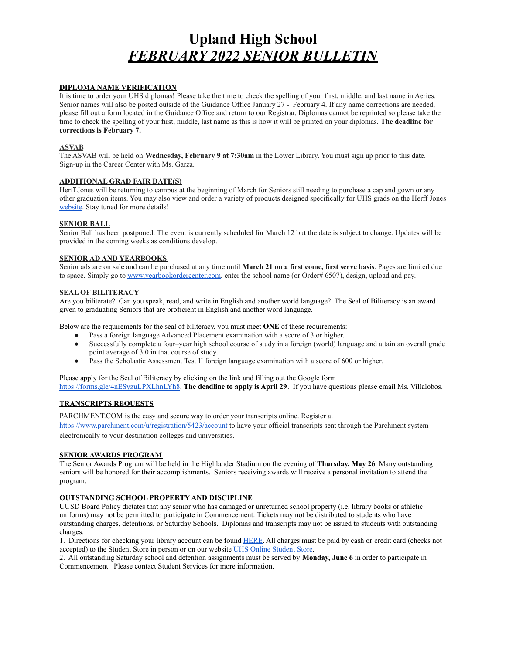# **Upland High School** *FEBRUARY 2022 SENIOR BULLETIN*

## **DIPLOMA NAME VERIFICATION**

It is time to order your UHS diplomas! Please take the time to check the spelling of your first, middle, and last name in Aeries. Senior names will also be posted outside of the Guidance Office January 27 - February 4. If any name corrections are needed, please fill out a form located in the Guidance Office and return to our Registrar. Diplomas cannot be reprinted so please take the time to check the spelling of your first, middle, last name as this is how it will be printed on your diplomas. **The deadline for corrections is February 7.**

### **ASVAB**

The ASVAB will be held on **Wednesday, February 9 at 7:30am** in the Lower Library. You must sign up prior to this date. Sign-up in the Career Center with Ms. Garza.

## **ADDITIONAL GRAD FAIR DATE(S)**

Herff Jones will be returning to campus at the beginning of March for Seniors still needing to purchase a cap and gown or any other graduation items. You may also view and order a variety of products designed specifically for UHS grads on the Herff Jones website. Stay tuned for more details!

## **SENIOR BALL**

Senior Ball has been postponed. The event is currently scheduled for March 12 but the date is subject to change. Updates will be provided in the coming weeks as conditions develop.

#### **SENIOR AD AND YEARBOOKS**

Senior ads are on sale and can be purchased at any time until **March 21 on a first come, first serve basis**. Pages are limited due to space. Simply go to www.yearbookordercenter.com, enter the school name (or Order# 6507), design, upload and pay.

#### **SEAL OF BILITERACY**

Are you biliterate? Can you speak, read, and write in English and another world language? The Seal of Biliteracy is an award given to graduating Seniors that are proficient in English and another word language.

Below are the requirements for the seal of biliteracy, you must meet **ONE** of these requirements:

- Pass a foreign language Advanced Placement examination with a score of 3 or higher.
- Successfully complete a four–year high school course of study in a foreign (world) language and attain an overall grade point average of 3.0 in that course of study.
- Pass the Scholastic Assessment Test II foreign language examination with a score of 600 or higher.

Please apply for the Seal of Biliteracy by clicking on the link and filling out the Google form https://forms.gle/4nESyzuLPXLhnLYh8. **The deadline to apply is April 29**. If you have questions please email Ms. Villalobos.

## **TRANSCRIPTS REQUESTS**

PARCHMENT.COM is the easy and secure way to order your transcripts online. Register at https://www.parchment.com/u/registration/5423/account to have your official transcripts sent through the Parchment system electronically to your destination colleges and universities.

## **SENIOR AWARDS PROGRAM**

The Senior Awards Program will be held in the Highlander Stadium on the evening of **Thursday, May 26**. Many outstanding seniors will be honored for their accomplishments. Seniors receiving awards will receive a personal invitation to attend the program.

#### **OUTSTANDING SCHOOL PROPERTY AND DISCIPLINE**

UUSD Board Policy dictates that any senior who has damaged or unreturned school property (i.e. library books or athletic uniforms) may not be permitted to participate in Commencement. Tickets may not be distributed to students who have outstanding charges, detentions, or Saturday Schools. Diplomas and transcripts may not be issued to students with outstanding charges.

1. Directions for checking your library account can be found HERE. All charges must be paid by cash or credit card (checks not accepted) to the Student Store in person or on our website UHS Online Student Store.

2. All outstanding Saturday school and detention assignments must be served by **Monday, June 6** in order to participate in Commencement. Please contact Student Services for more information.